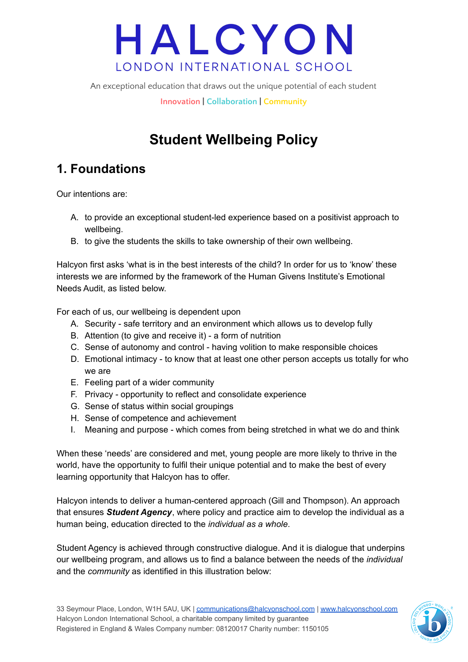An exceptional education that draws out the unique potential of each student

**Innovation | Collaboration | Community**

## **Student Wellbeing Policy**

## **1. Foundations**

Our intentions are:

- A. to provide an exceptional student-led experience based on a positivist approach to wellbeing.
- B. to give the students the skills to take ownership of their own wellbeing.

Halcyon first asks 'what is in the best interests of the child? In order for us to 'know' these interests we are informed by the framework of the Human Givens Institute's Emotional Needs Audit, as listed below.

For each of us, our wellbeing is dependent upon

- A. Security safe territory and an environment which allows us to develop fully
- B. Attention (to give and receive it) a form of nutrition
- C. Sense of autonomy and control having volition to make responsible choices
- D. Emotional intimacy to know that at least one other person accepts us totally for who we are
- E. Feeling part of a wider community
- F. Privacy opportunity to reflect and consolidate experience
- G. Sense of status within social groupings
- H. Sense of competence and achievement
- I. Meaning and purpose which comes from being stretched in what we do and think

When these 'needs' are considered and met, young people are more likely to thrive in the world, have the opportunity to fulfil their unique potential and to make the best of every learning opportunity that Halcyon has to offer.

Halcyon intends to deliver a human-centered approach (Gill and Thompson). An approach that ensures *Student Agency*, where policy and practice aim to develop the individual as a human being, education directed to the *individual as a whole*.

Student Agency is achieved through constructive dialogue. And it is dialogue that underpins our wellbeing program, and allows us to find a balance between the needs of the *individual* and the *community* as identified in this illustration below:

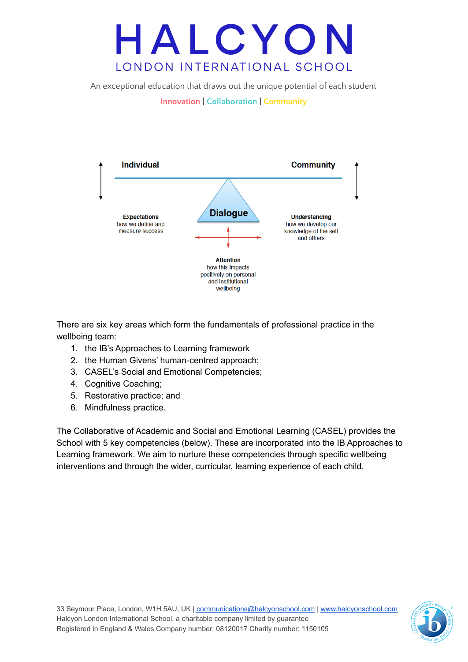An exceptional education that draws out the unique potential of each student



There are six key areas which form the fundamentals of professional practice in the wellbeing team:

- 1. the IB's Approaches to Learning framework
- 2. the Human Givens' human-centred approach;
- 3. CASEL's Social and Emotional Competencies;
- 4. Cognitive Coaching;
- 5. Restorative practice; and
- 6. Mindfulness practice.

The Collaborative of Academic and Social and Emotional Learning (CASEL) provides the School with 5 key competencies (below). These are incorporated into the IB Approaches to Learning framework. We aim to nurture these competencies through specific wellbeing interventions and through the wider, curricular, learning experience of each child.



**Innovation | Collaboration | Community**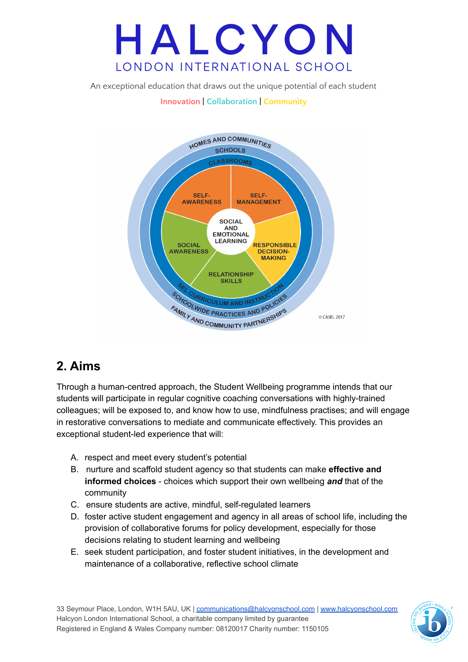An exceptional education that draws out the unique potential of each student

### **Innovation | Collaboration | Community**



### **2. Aims**

Through a human-centred approach, the Student Wellbeing programme intends that our students will participate in regular cognitive coaching conversations with highly-trained colleagues; will be exposed to, and know how to use, mindfulness practises; and will engage in restorative conversations to mediate and communicate effectively. This provides an exceptional student-led experience that will:

- A. respect and meet every student's potential
- B. nurture and scaffold student agency so that students can make **effective and informed choices** - choices which support their own wellbeing *and* that of the community
- C. ensure students are active, mindful, self-regulated learners
- D. foster active student engagement and agency in all areas of school life, including the provision of collaborative forums for policy development, especially for those decisions relating to student learning and wellbeing
- E. seek student participation, and foster student initiatives, in the development and maintenance of a collaborative, reflective school climate

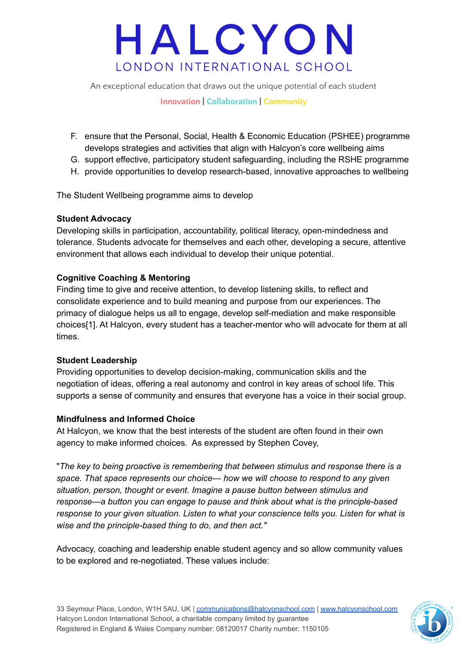An exceptional education that draws out the unique potential of each student

#### **Innovation | Collaboration | Community**

- F. ensure that the Personal, Social, Health & Economic Education (PSHEE) programme develops strategies and activities that align with Halcyon's core wellbeing aims
- G. support effective, participatory student safeguarding, including the RSHE programme
- H. provide opportunities to develop research-based, innovative approaches to wellbeing

The Student Wellbeing programme aims to develop

### **Student Advocacy**

Developing skills in participation, accountability, political literacy, open-mindedness and tolerance. Students advocate for themselves and each other, developing a secure, attentive environment that allows each individual to develop their unique potential.

### **Cognitive Coaching & Mentoring**

Finding time to give and receive attention, to develop listening skills, to reflect and consolidate experience and to build meaning and purpose from our experiences. The primacy of dialogue helps us all to engage, develop self-mediation and make responsible choices[1]. At Halcyon, every student has a teacher-mentor who will advocate for them at all times.

#### **Student Leadership**

Providing opportunities to develop decision-making, communication skills and the negotiation of ideas, offering a real autonomy and control in key areas of school life. This supports a sense of community and ensures that everyone has a voice in their social group.

### **Mindfulness and Informed Choice**

At Halcyon, we know that the best interests of the student are often found in their own agency to make informed choices. As expressed by Stephen Covey,

"*The key to being proactive is remembering that between stimulus and response there is a space. That space represents our choice— how we will choose to respond to any given situation, person, thought or event. Imagine a pause button between stimulus and response—a button you can engage to pause and think about what is the principle-based response to your given situation. Listen to what your conscience tells you. Listen for what is wise and the principle-based thing to do, and then act."*

Advocacy, coaching and leadership enable student agency and so allow community values to be explored and re-negotiated. These values include:

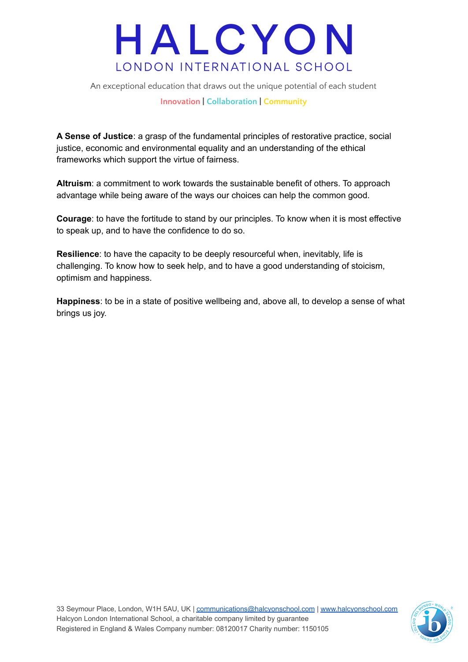An exceptional education that draws out the unique potential of each student

**Innovation | Collaboration | Community**

**A Sense of Justice**: a grasp of the fundamental principles of restorative practice, social justice, economic and environmental equality and an understanding of the ethical frameworks which support the virtue of fairness.

**Altruism**: a commitment to work towards the sustainable benefit of others. To approach advantage while being aware of the ways our choices can help the common good.

**Courage**: to have the fortitude to stand by our principles. To know when it is most effective to speak up, and to have the confidence to do so.

**Resilience**: to have the capacity to be deeply resourceful when, inevitably, life is challenging. To know how to seek help, and to have a good understanding of stoicism, optimism and happiness.

**Happiness**: to be in a state of positive wellbeing and, above all, to develop a sense of what brings us joy.

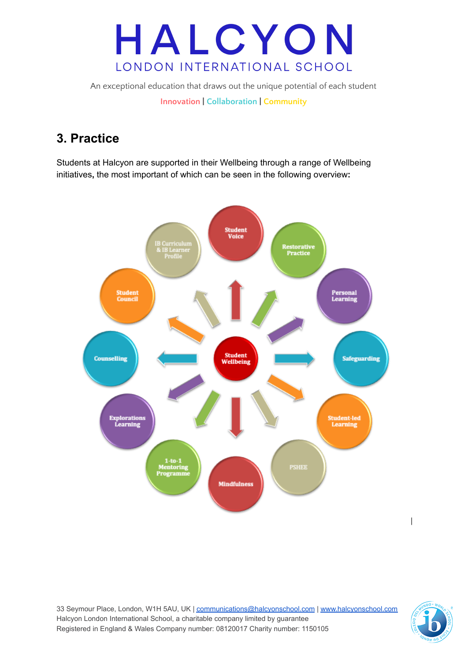An exceptional education that draws out the unique potential of each student **Innovation | Collaboration | Community**

## **3. Practice**

Students at Halcyon are supported in their Wellbeing through a range of Wellbeing initiatives**,** the most important of which can be seen in the following overview**:**



33 Seymour Place, London, W1H 5AU, UK | [communications@halcyonschool.com](mailto:communications@halcyonschool.com) | [www.halcyonschool.com](http://www.halcyonschool.com) Halcyon London International School, a charitable company limited by guarantee Registered in England & Wales Company number: 08120017 Charity number: 1150105



 $\overline{\phantom{a}}$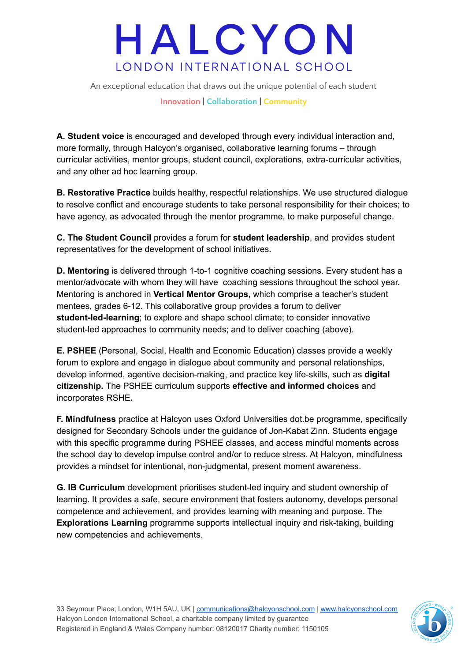An exceptional education that draws out the unique potential of each student

**Innovation | Collaboration | Community**

**A. Student voice** is encouraged and developed through every individual interaction and, more formally, through Halcyon's organised, collaborative learning forums – through curricular activities, mentor groups, student council, explorations, extra-curricular activities, and any other ad hoc learning group.

**B. Restorative Practice** builds healthy, respectful relationships. We use structured dialogue to resolve conflict and encourage students to take personal responsibility for their choices; to have agency, as advocated through the mentor programme, to make purposeful change.

**C. The Student Council** provides a forum for **student leadership**, and provides student representatives for the development of school initiatives.

**D. Mentoring** is delivered through 1-to-1 cognitive coaching sessions. Every student has a mentor/advocate with whom they will have coaching sessions throughout the school year. Mentoring is anchored in **Vertical Mentor Groups,** which comprise a teacher's student mentees, grades 6-12. This collaborative group provides a forum to deliver **student-led-learning**; to explore and shape school climate; to consider innovative student-led approaches to community needs; and to deliver coaching (above).

**E. PSHEE** (Personal, Social, Health and Economic Education) classes provide a weekly forum to explore and engage in dialogue about community and personal relationships, develop informed, agentive decision-making, and practice key life-skills, such as **digital citizenship.** The PSHEE curriculum supports **effective and informed choices** and incorporates RSHE**.**

**F. Mindfulness** practice at Halcyon uses Oxford Universities dot.be programme, specifically designed for Secondary Schools under the guidance of Jon-Kabat Zinn. Students engage with this specific programme during PSHEE classes, and access mindful moments across the school day to develop impulse control and/or to reduce stress. At Halcyon, mindfulness provides a mindset for intentional, non-judgmental, present moment awareness.

**G. IB Curriculum** development prioritises student-led inquiry and student ownership of learning. It provides a safe, secure environment that fosters autonomy, develops personal competence and achievement, and provides learning with meaning and purpose. The **Explorations Learning** programme supports intellectual inquiry and risk-taking, building new competencies and achievements.

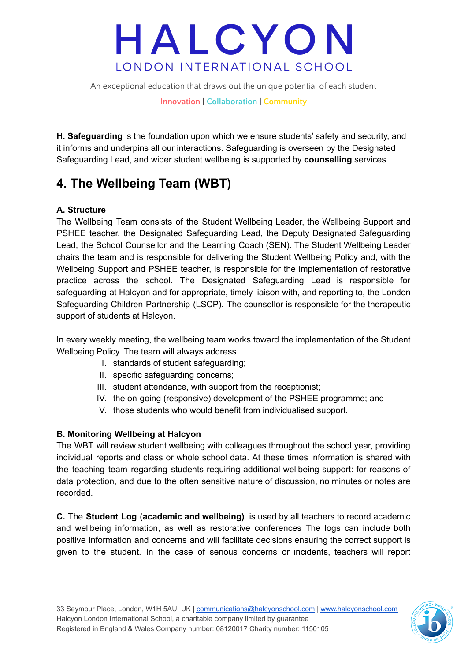An exceptional education that draws out the unique potential of each student

**Innovation | Collaboration | Community**

**H. Safeguarding** is the foundation upon which we ensure students' safety and security, and it informs and underpins all our interactions. Safeguarding is overseen by the Designated Safeguarding Lead, and wider student wellbeing is supported by **counselling** services.

### **4. The Wellbeing Team (WBT)**

### **A. Structure**

The Wellbeing Team consists of the Student Wellbeing Leader, the Wellbeing Support and PSHEE teacher, the Designated Safeguarding Lead, the Deputy Designated Safeguarding Lead, the School Counsellor and the Learning Coach (SEN). The Student Wellbeing Leader chairs the team and is responsible for delivering the Student Wellbeing Policy and, with the Wellbeing Support and PSHEE teacher, is responsible for the implementation of restorative practice across the school. The Designated Safeguarding Lead is responsible for safeguarding at Halcyon and for appropriate, timely liaison with, and reporting to, the London Safeguarding Children Partnership (LSCP). The counsellor is responsible for the therapeutic support of students at Halcyon.

In every weekly meeting, the wellbeing team works toward the implementation of the Student Wellbeing Policy. The team will always address

- I. standards of student safeguarding;
- II. specific safeguarding concerns;
- III. student attendance, with support from the receptionist;
- IV. the on-going (responsive) development of the PSHEE programme; and
- V. those students who would benefit from individualised support.

### **B. Monitoring Wellbeing at Halcyon**

The WBT will review student wellbeing with colleagues throughout the school year, providing individual reports and class or whole school data. At these times information is shared with the teaching team regarding students requiring additional wellbeing support: for reasons of data protection, and due to the often sensitive nature of discussion, no minutes or notes are recorded.

**C.** The **Student Log** (**academic and wellbeing)** is used by all teachers to record academic and wellbeing information, as well as restorative conferences The logs can include both positive information and concerns and will facilitate decisions ensuring the correct support is given to the student. In the case of serious concerns or incidents, teachers will report

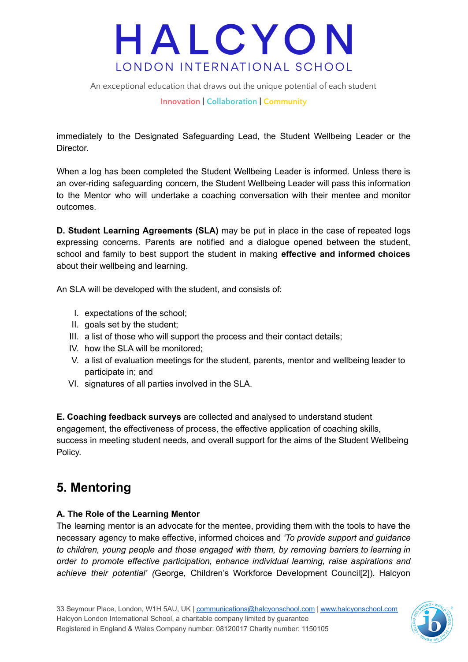An exceptional education that draws out the unique potential of each student

**Innovation | Collaboration | Community**

immediately to the Designated Safeguarding Lead, the Student Wellbeing Leader or the Director.

When a log has been completed the Student Wellbeing Leader is informed. Unless there is an over-riding safeguarding concern, the Student Wellbeing Leader will pass this information to the Mentor who will undertake a coaching conversation with their mentee and monitor outcomes.

**D. Student Learning Agreements (SLA)** may be put in place in the case of repeated logs expressing concerns. Parents are notified and a dialogue opened between the student, school and family to best support the student in making **effective and informed choices** about their wellbeing and learning.

An SLA will be developed with the student, and consists of:

- I. expectations of the school;
- II. goals set by the student;
- III. a list of those who will support the process and their contact details;
- IV. how the SLA will be monitored;
- V. a list of evaluation meetings for the student, parents, mentor and wellbeing leader to participate in; and
- VI. signatures of all parties involved in the SLA.

**E. Coaching feedback surveys** are collected and analysed to understand student engagement, the effectiveness of process, the effective application of coaching skills, success in meeting student needs, and overall support for the aims of the Student Wellbeing Policy.

## **5. Mentoring**

### **A. The Role of the Learning Mentor**

The learning mentor is an advocate for the mentee, providing them with the tools to have the necessary agency to make effective, informed choices and *'To provide support and guidance to children, young people and those engaged with them, by removing barriers to learning in order to promote effective participation, enhance individual learning, raise aspirations and achieve their potential' (*George, Children's Workforce Development Council[2])*.* Halcyon

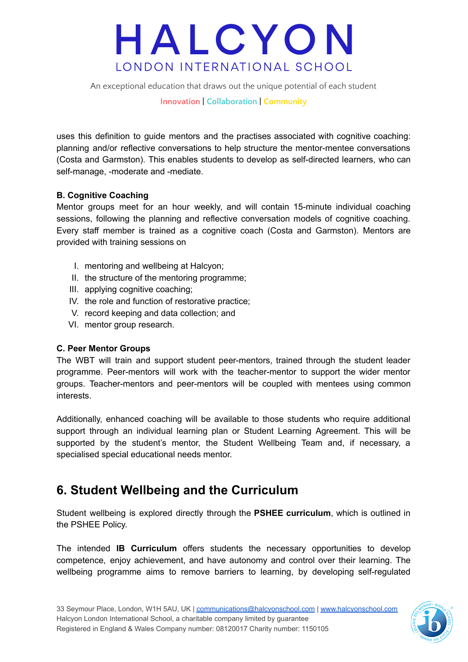An exceptional education that draws out the unique potential of each student

**Innovation | Collaboration | Community**

uses this definition to guide mentors and the practises associated with cognitive coaching: planning and/or reflective conversations to help structure the mentor-mentee conversations (Costa and Garmston). This enables students to develop as self-directed learners, who can self-manage, -moderate and -mediate.

### **B. Cognitive Coaching**

Mentor groups meet for an hour weekly, and will contain 15-minute individual coaching sessions, following the planning and reflective conversation models of cognitive coaching. Every staff member is trained as a cognitive coach (Costa and Garmston). Mentors are provided with training sessions on

- I. mentoring and wellbeing at Halcyon;
- II. the structure of the mentoring programme;
- III. applying cognitive coaching;
- IV. the role and function of restorative practice;
- V. record keeping and data collection; and
- VI. mentor group research.

#### **C. Peer Mentor Groups**

The WBT will train and support student peer-mentors, trained through the student leader programme. Peer-mentors will work with the teacher-mentor to support the wider mentor groups. Teacher-mentors and peer-mentors will be coupled with mentees using common interests.

Additionally, enhanced coaching will be available to those students who require additional support through an individual learning plan or Student Learning Agreement. This will be supported by the student's mentor, the Student Wellbeing Team and, if necessary, a specialised special educational needs mentor.

### **6. Student Wellbeing and the Curriculum**

Student wellbeing is explored directly through the **PSHEE curriculum**, which is outlined in the PSHEE Policy.

The intended **IB Curriculum** offers students the necessary opportunities to develop competence, enjoy achievement, and have autonomy and control over their learning. The wellbeing programme aims to remove barriers to learning, by developing self-regulated

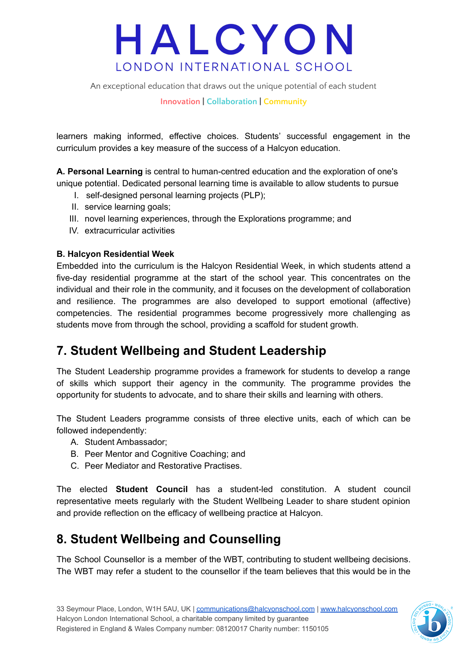An exceptional education that draws out the unique potential of each student

**Innovation | Collaboration | Community**

learners making informed, effective choices. Students' successful engagement in the curriculum provides a key measure of the success of a Halcyon education.

**A. Personal Learning** is central to human-centred education and the exploration of one's unique potential. Dedicated personal learning time is available to allow students to pursue

- I. self-designed personal learning projects (PLP);
- II. service learning goals;
- III. novel learning experiences, through the Explorations programme; and
- IV. extracurricular activities

#### **B. Halcyon Residential Week**

Embedded into the curriculum is the Halcyon Residential Week, in which students attend a five-day residential programme at the start of the school year. This concentrates on the individual and their role in the community, and it focuses on the development of collaboration and resilience. The programmes are also developed to support emotional (affective) competencies. The residential programmes become progressively more challenging as students move from through the school, providing a scaffold for student growth.

### **7. Student Wellbeing and Student Leadership**

The Student Leadership programme provides a framework for students to develop a range of skills which support their agency in the community. The programme provides the opportunity for students to advocate, and to share their skills and learning with others.

The Student Leaders programme consists of three elective units, each of which can be followed independently:

- A. Student Ambassador;
- B. Peer Mentor and Cognitive Coaching; and
- C. Peer Mediator and Restorative Practises.

The elected **Student Council** has a student-led constitution. A student council representative meets regularly with the Student Wellbeing Leader to share student opinion and provide reflection on the efficacy of wellbeing practice at Halcyon.

### **8. Student Wellbeing and Counselling**

The School Counsellor is a member of the WBT, contributing to student wellbeing decisions. The WBT may refer a student to the counsellor if the team believes that this would be in the

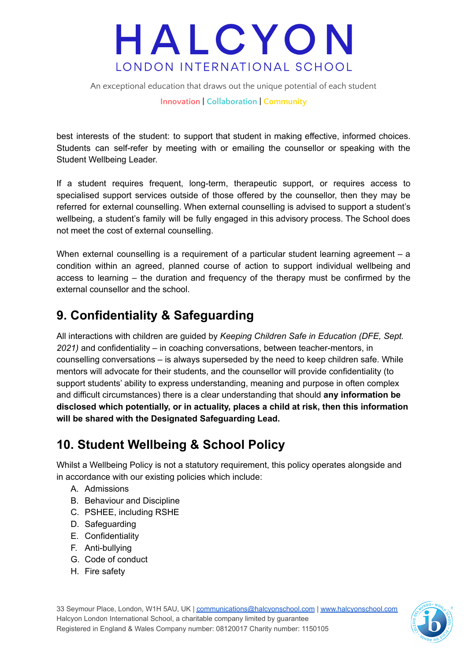An exceptional education that draws out the unique potential of each student

**Innovation | Collaboration | Community**

best interests of the student: to support that student in making effective, informed choices. Students can self-refer by meeting with or emailing the counsellor or speaking with the Student Wellbeing Leader.

If a student requires frequent, long-term, therapeutic support, or requires access to specialised support services outside of those offered by the counsellor, then they may be referred for external counselling. When external counselling is advised to support a student's wellbeing, a student's family will be fully engaged in this advisory process. The School does not meet the cost of external counselling.

When external counselling is a requirement of a particular student learning agreement – a condition within an agreed, planned course of action to support individual wellbeing and access to learning – the duration and frequency of the therapy must be confirmed by the external counsellor and the school.

### **9. Confidentiality & Safeguarding**

All interactions with children are guided by *Keeping Children Safe in Education (DFE, Sept. 2021)* and confidentiality – in coaching conversations, between teacher-mentors, in counselling conversations – is always superseded by the need to keep children safe. While mentors will advocate for their students, and the counsellor will provide confidentiality (to support students' ability to express understanding, meaning and purpose in often complex and difficult circumstances) there is a clear understanding that should **any information be disclosed which potentially, or in actuality, places a child at risk, then this information will be shared with the Designated Safeguarding Lead.**

## **10. Student Wellbeing & School Policy**

Whilst a Wellbeing Policy is not a statutory requirement, this policy operates alongside and in accordance with our existing policies which include:

- A. Admissions
- B. Behaviour and Discipline
- C. PSHEE, including RSHE
- D. Safeguarding
- E. Confidentiality
- F. Anti-bullying
- G. Code of conduct
- H. Fire safety

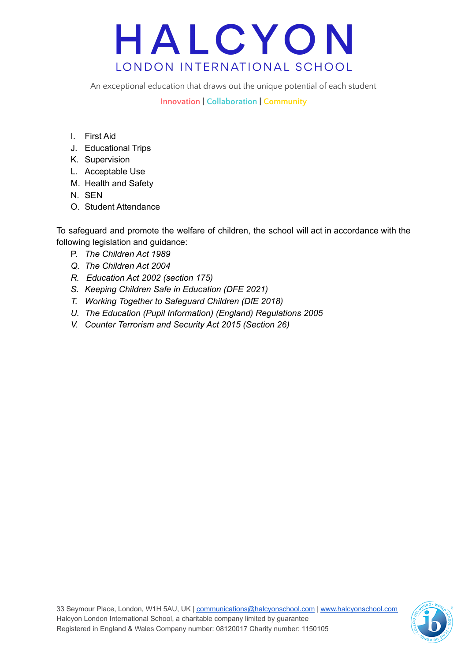An exceptional education that draws out the unique potential of each student

**Innovation | Collaboration | Community**

- I. First Aid
- J. Educational Trips
- K. Supervision
- L. Acceptable Use
- M. Health and Safety
- N. SEN
- O. Student Attendance

To safeguard and promote the welfare of children, the school will act in accordance with the following legislation and guidance:

- P. *The Children Act 1989*
- *Q. The Children Act 2004*
- *R. Education Act 2002 (section 175)*
- *S. Keeping Children Safe in Education (DFE 2021)*
- *T. Working Together to Safeguard Children (DfE 2018)*
- *U. The Education (Pupil Information) (England) Regulations 2005*
- *V. Counter Terrorism and Security Act 2015 (Section 26)*

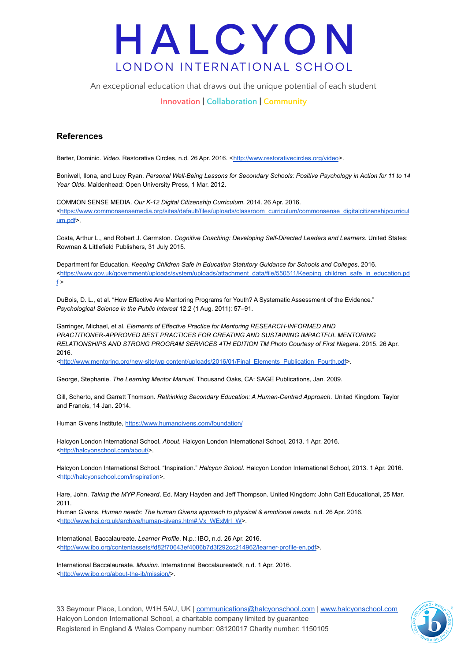An exceptional education that draws out the unique potential of each student

#### **Innovation | Collaboration | Community**

#### **References**

Barter, Dominic. *Video*. Restorative Circles, n.d. 26 Apr. 2016. <<http://www.restorativecircles.org/video>>.

Boniwell, Ilona, and Lucy Ryan. *Personal Well-Being Lessons for Secondary Schools: Positive Psychology in Action for 11 to 14 Year Olds*. Maidenhead: Open University Press, 1 Mar. 2012.

COMMON SENSE MEDIA. *Our K-12 Digital Citizenship Curriculum*. 2014. 26 Apr. 2016. <[https://www.commonsensemedia.org/sites/default/files/uploads/classroom\\_curriculum/commonsense\\_digitalcitizenshipcurricul](https://www.commonsensemedia.org/sites/default/files/uploads/classroom_curriculum/commonsense_digitalcitizenshipcurriculum.pdf) [um.pdf](https://www.commonsensemedia.org/sites/default/files/uploads/classroom_curriculum/commonsense_digitalcitizenshipcurriculum.pdf)>.

Costa, Arthur L., and Robert J. Garmston. *Cognitive Coaching: Developing Self-Directed Leaders and Learners*. United States: Rowman & Littlefield Publishers, 31 July 2015.

Department for Education. *Keeping Children Safe in Education Statutory Guidance for Schools and Colleges*. 2016. <[https://www.gov.uk/government/uploads/system/uploads/attachment\\_data/file/550511/Keeping\\_children\\_safe\\_in\\_education.pd](https://www.gov.uk/government/uploads/system/uploads/attachment_data/file/550511/Keeping_children_safe_in_education.pdf)  $f >$  $f >$ 

DuBois, D. L., et al. "How Effective Are Mentoring Programs for Youth? A Systematic Assessment of the Evidence." *Psychological Science in the Public Interest* 12.2 (1 Aug. 2011): 57–91.

Garringer, Michael, et al. *Elements of Effective Practice for Mentoring RESEARCH-INFORMED AND PRACTITIONER-APPROVED BEST PRACTICES FOR CREATING AND SUSTAINING IMPACTFUL MENTORING RELATIONSHIPS AND STRONG PROGRAM SERVICES 4TH EDITION TM Photo Courtesy of First Niagara*. 2015. 26 Apr. 2016.

<http://www.mentoring.org/new-site/wp [content/uploads/2016/01/Final\\_Elements\\_Publication\\_Fourth.pdf>](http://www.mentoring.org/new-site/wp-content/uploads/2016/01/Final_Elements_Publication_Fourth.pdf).

George, Stephanie. *The Learning Mentor Manual*. Thousand Oaks, CA: SAGE Publications, Jan. 2009.

Gill, Scherto, and Garrett Thomson. *Rethinking Secondary Education: A Human-Centred Approach*. United Kingdom: Taylor and Francis, 14 Jan. 2014.

Human Givens Institute, <https://www.humangivens.com/foundation/>

Halcyon London International School. *About*. Halcyon London International School, 2013. 1 Apr. 2016. <<http://halcyonschool.com/about/>>.

Halcyon London International School. "Inspiration." *Halcyon School*. Halcyon London International School, 2013. 1 Apr. 2016. <<http://halcyonschool.com/inspiration>>.

Hare, John. *Taking the MYP Forward*. Ed. Mary Hayden and Jeff Thompson. United Kingdom: John Catt Educational, 25 Mar. 2011.

Human Givens. *Human needs: The human Givens approach to physical & emotional needs*. n.d. 26 Apr. 2016. <[http://www.hgi.org.uk/archive/human-givens.htm#.Vx\\_WExMrI\\_W>](http://www.hgi.org.uk/archive/human-givens.htm#.Vx_WExMrI_W).

International, Baccalaureate. *Learner Profile*. N.p.: IBO, n.d. 26 Apr. 2016. <[http://www.ibo.org/contentassets/fd82f70643ef4086b7d3f292cc214962/learner-profile-en.pdf>](http://www.ibo.org/contentassets/fd82f70643ef4086b7d3f292cc214962/learner-profile-en.pdf).

International Baccalaureate. *Mission*. International Baccalaureate®, n.d. 1 Apr. 2016. <[http://www.ibo.org/about-the-ib/mission/>](http://www.ibo.org/about-the-ib/mission/).